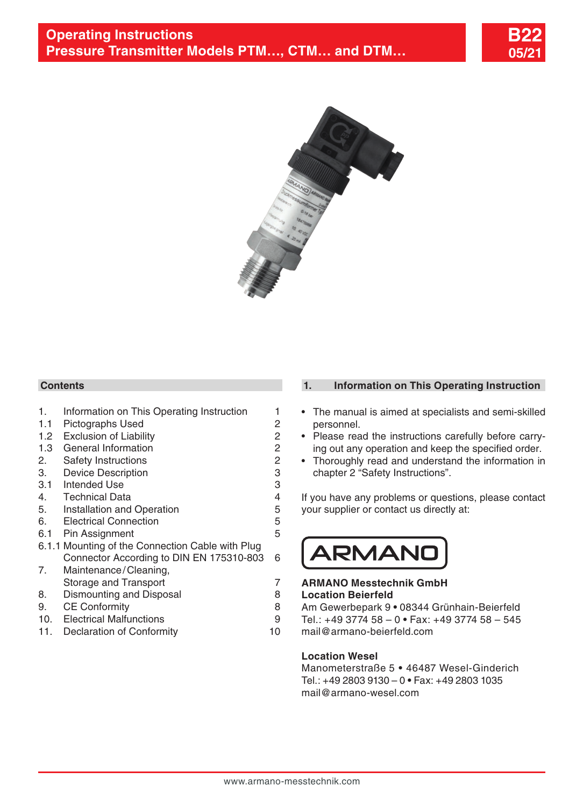



#### **Contents**

- 1. Information on This Operating Instruction 1
- 1.1 [Pictographs Used](#page-1-0) 2
- 1.2 [Exclusion of Liability](#page-1-0) 2
- 1.3 [General Information](#page-1-0) 2
- 2. [Safety Instructions](#page-1-0) 2
- 3. [Device Description](#page-2-0) 3
- 3.1 [Intended Use](#page-2-0) 3
- 4. [Technical Data](#page-3-0) 4
- 5. [Installation and Operation](#page-4-0) 6
- [6. Electrical Connection](#page-4-0) 5
- 6.1 [Pin Assignment 5](#page-4-0)
- [6.1.1 Mounting of the Connection Cable with Plug](#page-5-0)  [Connector According to DIN EN 175310-803](#page-5-0) 6
- [7. Maintenance/Cleaning,](#page-6-0)  [Storage and Transport](#page-6-0) 7
- 8. [Dismounting and Disposal](#page-7-0) 8
- 9. [CE Conformity](#page-7-0) 8
- [10. Electrical Malfunctions](#page-8-0) 9
- 11. [Declaration of Conformity](#page-9-0) 10

#### **1. Information on This Operating Instruction**

- The manual is aimed at specialists and semi-skilled personnel.
- Please read the instructions carefully before carrying out any operation and keep the specified order.
- Thoroughly read and understand the information in chapter 2 "Safety Instructions".

If you have any problems or questions, please contact your supplier or contact us directly at:

ARMANI

#### **ARMANO Messtechnik GmbH Location Beierfeld**

- Am Gewerbepark 9 **•** 08344 Grünhain-Beierfeld
- Tel.: +49 3774 58 0 **•** Fax: +49 3774 58 545
- mail@armano-beierfeld.com

#### **Location Wesel**

Manometerstraße 5 **•** 46487 Wesel-Ginderich Tel.: +49 2803 9130 – 0 **•** Fax: +49 2803 1035 mail@armano-wesel.com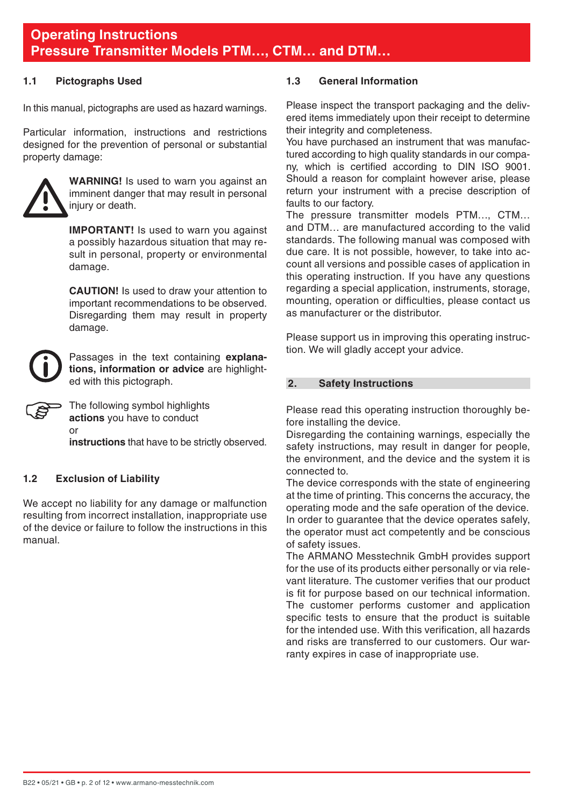#### <span id="page-1-0"></span>**1.1 Pictographs Used**

In this manual, pictographs are used as hazard warnings.

Particular information, instructions and restrictions designed for the prevention of personal or substantial property damage:



**WARNING!** Is used to warn you against an imminent danger that may result in personal injury or death.

**IMPORTANT!** Is used to warn you against a possibly hazardous situation that may result in personal, property or environmental damage.

 **CAUTION!** Is used to draw your attention to important recommendations to be observed. Disregarding them may result in property damage.



Passages in the text containing **explanations, information or advice** are highlighted with this pictograph.

The following symbol highlights **actions** you have to conduct or

**instructions** that have to be strictly observed.

#### **1.2 Exclusion of Liability**

We accept no liability for any damage or malfunction resulting from incorrect installation, inappropriate use of the device or failure to follow the instructions in this manual.

#### **1.3 General Information**

Please inspect the transport packaging and the delivered items immediately upon their receipt to determine their integrity and completeness.

You have purchased an instrument that was manufactured according to high quality standards in our company, which is certified according to DIN ISO 9001. Should a reason for complaint however arise, please return your instrument with a precise description of faults to our factory.

The pressure transmitter models PTM…, CTM… and DTM… are manufactured according to the valid standards. The following manual was composed with due care. It is not possible, however, to take into account all versions and possible cases of application in this operating instruction. If you have any questions regarding a special application, instruments, storage, mounting, operation or difficulties, please contact us as manufacturer or the distributor.

Please support us in improving this operating instruction. We will gladly accept your advice.

#### **2. Safety Instructions**

Please read this operating instruction thoroughly before installing the device.

Disregarding the containing warnings, especially the safety instructions, may result in danger for people. the environment, and the device and the system it is connected to.

The device corresponds with the state of engineering at the time of printing. This concerns the accuracy, the operating mode and the safe operation of the device. In order to guarantee that the device operates safely, the operator must act competently and be conscious of safety issues.

The ARMANO Messtechnik GmbH provides support for the use of its products either personally or via relevant literature. The customer verifies that our product is fit for purpose based on our technical information. The customer performs customer and application specific tests to ensure that the product is suitable for the intended use. With this verification, all hazards and risks are transferred to our customers. Our warranty expires in case of inappropriate use.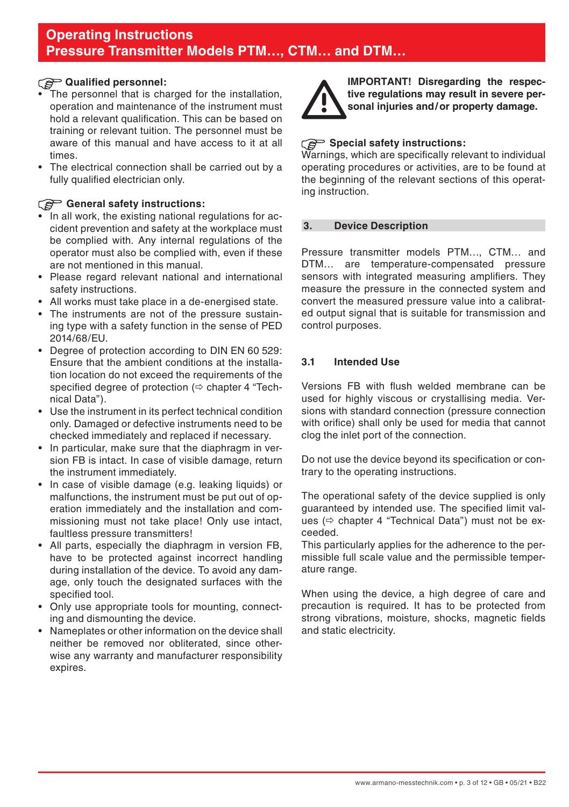### <span id="page-2-0"></span>**Qualified personnel:**

- The personnel that is charged for the installation, operation and maintenance of the instrument must hold a relevant qualification. This can be based on training or relevant tuition. The personnel must be aware of this manual and have access to it at all times.
- The electrical connection shall be carried out by a fully qualified electrician only.

#### **General safety instructions:**

- In all work, the existing national regulations for accident prevention and safety at the workplace must be complied with. Any internal regulations of the operator must also be complied with, even if these are not mentioned in this manual.
- Please regard relevant national and international safety instructions.
- All works must take place in a de-energised state.
- The instruments are not of the pressure sustaining type with a safety function in the sense of PED 2014/68/EU.
- Degree of protection according to DIN EN 60 529: Ensure that the ambient conditions at the installation location do not exceed the requirements of the specified degree of protection  $(\Rightarrow$  chapter 4 "Technical Data").
- Use the instrument in its perfect technical condition only. Damaged or defective instruments need to be checked immediately and replaced if necessary.
- In particular, make sure that the diaphragm in version FB is intact. In case of visible damage, return the instrument immediately.
- In case of visible damage (e.g. leaking liquids) or malfunctions, the instrument must be put out of operation immediately and the installation and commissioning must not take place! Only use intact, faultless pressure transmitters!
- All parts, especially the diaphragm in version FB, have to be protected against incorrect handling during installation of the device. To avoid any damage, only touch the designated surfaces with the specified tool.
- Only use appropriate tools for mounting, connecting and dismounting the device.
- Nameplates or other information on the device shall neither be removed nor obliterated, since otherwise any warranty and manufacturer responsibility expires.



**IMPORTANT! Disregarding the respective regulations may result in severe personal injuries and/or property damage.**

## **Special safety instructions:**

Warnings, which are specifically relevant to individual operating procedures or activities, are to be found at the beginning of the relevant sections of this operating instruction.

#### **3. Device Description**

Pressure transmitter models PTM…, CTM… and DTM… are temperature-compensated pressure sensors with integrated measuring amplifiers. They measure the pressure in the connected system and convert the measured pressure value into a calibrated output signal that is suitable for transmission and control purposes.

### **3.1 Intended Use**

Versions FB with flush welded membrane can be used for highly viscous or crystallising media. Versions with standard connection (pressure connection with orifice) shall only be used for media that cannot clog the inlet port of the connection.

Do not use the device beyond its specification or contrary to the operating instructions.

The operational safety of the device supplied is only guaranteed by intended use. The specified limit values ( $\Leftrightarrow$  chapter 4 "Technical Data") must not be exceeded.

This particularly applies for the adherence to the permissible full scale value and the permissible temperature range.

When using the device, a high degree of care and precaution is required. It has to be protected from strong vibrations, moisture, shocks, magnetic fields and static electricity.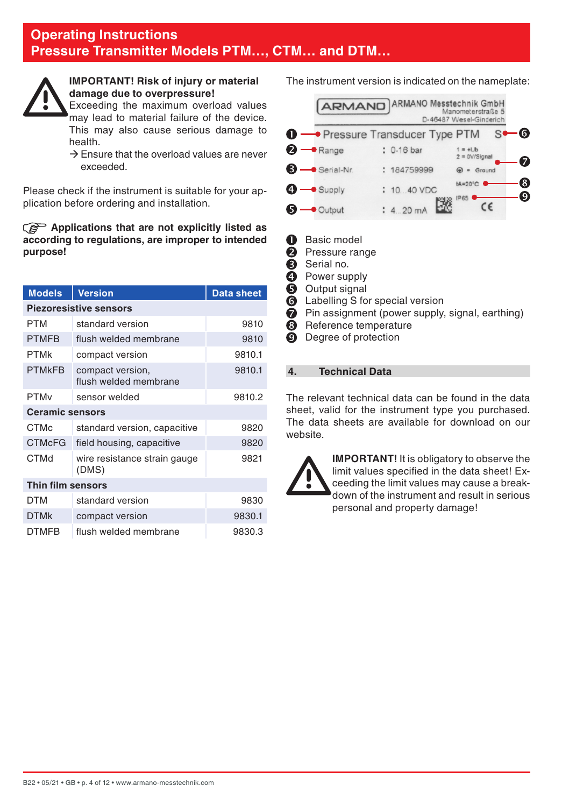<span id="page-3-0"></span>

#### **IMPORTANT! Risk of injury or material damage due to overpressure!**

 Exceeding the maximum overload values may lead to material failure of the device. This may also cause serious damage to health.

 $\rightarrow$  Ensure that the overload values are never exceeded.

Please check if the instrument is suitable for your application before ordering and installation.

#### **Applications that are not explicitly listed as according to regulations, are improper to intended purpose!**

| <b>Models</b>                 | <b>Version</b>                            | <b>Data sheet</b> |  |  |  |
|-------------------------------|-------------------------------------------|-------------------|--|--|--|
| <b>Piezoresistive sensors</b> |                                           |                   |  |  |  |
| <b>PTM</b>                    | standard version                          | 9810              |  |  |  |
| <b>PTMFB</b>                  | flush welded membrane                     | 9810              |  |  |  |
| <b>PTMk</b>                   | compact version                           | 9810.1            |  |  |  |
| <b>PTMKFB</b>                 | compact version,<br>flush welded membrane | 9810.1            |  |  |  |
| PTM <sub>v</sub>              | sensor welded                             | 9810.2            |  |  |  |
| <b>Ceramic sensors</b>        |                                           |                   |  |  |  |
| <b>CTMc</b>                   | standard version, capacitive              | 9820              |  |  |  |
| <b>CTMcFG</b>                 | field housing, capacitive                 | 9820              |  |  |  |
| <b>CTMd</b>                   | wire resistance strain gauge<br>(DMS)     | 9821              |  |  |  |
| Thin film sensors             |                                           |                   |  |  |  |
| DTM                           | standard version                          | 9830              |  |  |  |
| <b>DTMk</b>                   | compact version                           | 9830.1            |  |  |  |
| <b>DTMFB</b>                  | flush welded membrane                     | 9830.3            |  |  |  |

The instrument version is indicated on the nameplate:



- Basic model
- **P** Pressure range
- Serial no.
- **A** Power supply
- **Output signal**
- **6** Labelling S for special version
- **P** Pin assignment (power supply, signal, earthing)
- **8** Reference temperature
- $\bullet$  Degree of protection

## **4. Technical Data**

The relevant technical data can be found in the data sheet, valid for the instrument type you purchased. The data sheets are available for download on our website.



**IMPORTANT!** It is obligatory to observe the limit values specified in the data sheet! Exceeding the limit values may cause a breakdown of the instrument and result in serious personal and property damage!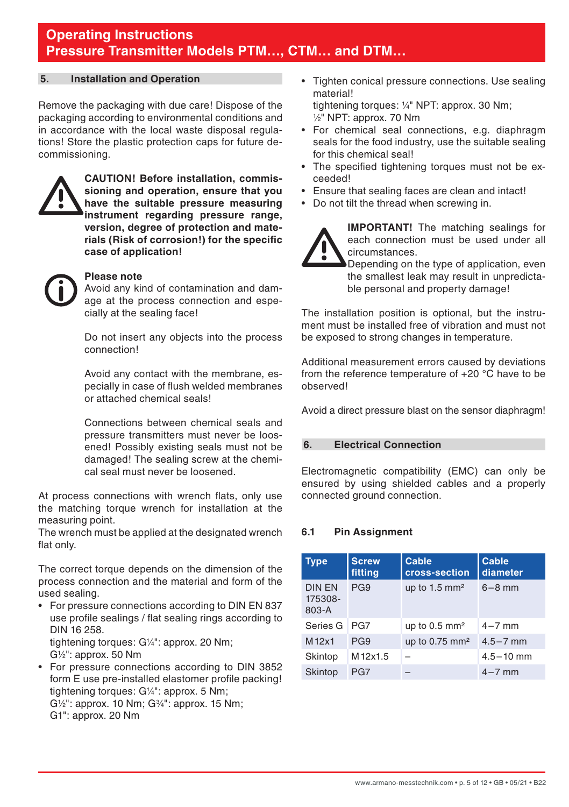### <span id="page-4-0"></span>**5. Installation and Operation**

Remove the packaging with due care! Dispose of the packaging according to environmental conditions and in accordance with the local waste disposal regulations! Store the plastic protection caps for future decommissioning.



**CAUTION! Before installation, commissioning and operation, ensure that you have the suitable pressure measuring instrument regarding pressure range, version, degree of protection and materials (Risk of corrosion!) for the specific case of application!** 



#### **Please note**

 Avoid any kind of contamination and damage at the process connection and especially at the sealing face!

 Do not insert any objects into the process connection!

 Avoid any contact with the membrane, especially in case of flush welded membranes or attached chemical seals!

 Connections between chemical seals and pressure transmitters must never be loosened! Possibly existing seals must not be damaged! The sealing screw at the chemical seal must never be loosened.

At process connections with wrench flats, only use the matching torque wrench for installation at the measuring point.

The wrench must be applied at the designated wrench flat only.

The correct torque depends on the dimension of the process connection and the material and form of the used sealing.

- For pressure connections according to DIN EN 837 use profile sealings / flat sealing rings according to DIN 16 258. tightening torques: G1 ⁄4": approx. 20 Nm; G1 ⁄2": approx. 50 Nm
- For pressure connections according to DIN 3852 form E use pre-installed elastomer profile packing! tightening torques: G1 ⁄4": approx. 5 Nm;

G1 ⁄2": approx. 10 Nm; G3 ⁄4": approx. 15 Nm; G1": approx. 20 Nm

• Tighten conical pressure connections. Use sealing material!

tightening torques: ¼" NPT: approx. 30 Nm;<br>¼" NPT: approx. 70 Nm ⁄2" NPT: approx. 70 Nm

- For chemical seal connections, e.g. diaphragm seals for the food industry, use the suitable sealing for this chemical seal!
- The specified tightening torques must not be exceeded!
- Ensure that sealing faces are clean and intact!
- Do not tilt the thread when screwing in.



**IMPORTANT!** The matching sealings for each connection must be used under all circumstances.

 Depending on the type of application, even the smallest leak may result in unpredictable personal and property damage!

The installation position is optional, but the instrument must be installed free of vibration and must not be exposed to strong changes in temperature.

Additional measurement errors caused by deviations from the reference temperature of  $+20$  °C have to be observed!

Avoid a direct pressure blast on the sensor diaphragm!

#### **6. Electrical Connection**

Electromagnetic compatibility (EMC) can only be ensured by using shielded cables and a properly connected ground connection.

#### **6.1 Pin Assignment**

| <b>Type</b>                         | <b>Screw</b><br>fitting | Cable<br>cross-section       | Cable<br>diameter |
|-------------------------------------|-------------------------|------------------------------|-------------------|
| <b>DIN EN</b><br>175308-<br>$803-A$ | PG <sub>9</sub>         | up to $1.5 \text{ mm}^2$     | $6-8$ mm          |
| Series G                            | PG7                     | up to $0.5$ mm <sup>2</sup>  | $4 - 7$ mm        |
| M <sub>12x1</sub>                   | PG <sub>9</sub>         | up to $0.75$ mm <sup>2</sup> | $4.5 - 7$ mm      |
| Skintop                             | M12x1.5                 |                              | $4.5 - 10$ mm     |
| Skintop                             | PG7                     |                              | $4-7$ mm          |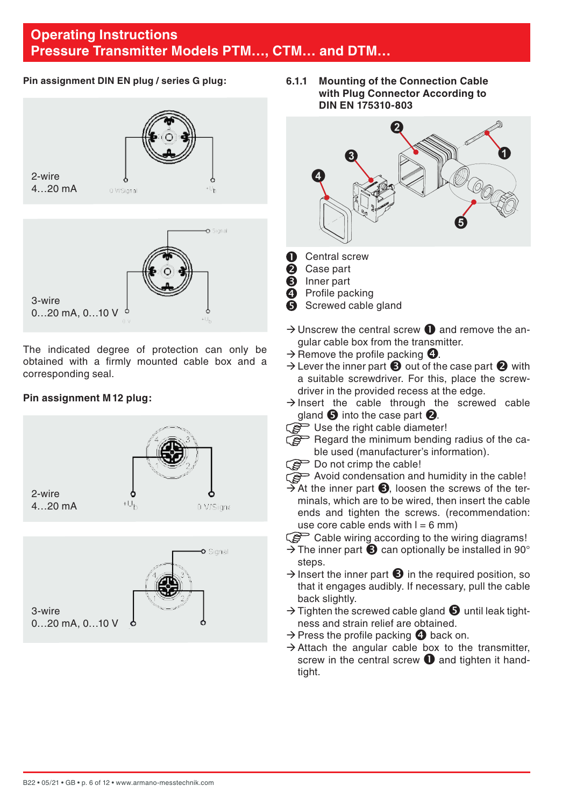<span id="page-5-0"></span>**Pin assignment DIN EN plug / series G plug:**





The indicated degree of protection can only be obtained with a firmly mounted cable box and a corresponding seal.

## **Pin assignment M12 plug:**





**6.1.1 Mounting of the Connection Cable with Plug Connector According to DIN EN 175310-803**



- Central screw
- 2 Case part
- Inner part ଈ
- Profile packing
- Screwed cable gland
- $\rightarrow$  Unscrew the central screw  $\bullet$  and remove the angular cable box from the transmitter.
- $\rightarrow$  Remove the profile packing  $\bullet$ .
- $\rightarrow$  Lever the inner part  $\bigcirc$  out of the case part  $\bigcirc$  with a suitable screwdriver. For this, place the screwdriver in the provided recess at the edge.
- $\rightarrow$  Insert the cable through the screwed cable gland  $\bigcirc$  into the case part  $\bigcirc$ .
- Use the right cable diameter!
- $\Rightarrow$  Regard the minimum bending radius of the cable used (manufacturer's information).
- $\widehat{B}$  Do not crimp the cable!
- Avoid condensation and humidity in the cable!
- $\rightarrow$  At the inner part  $\bigcirc$ , loosen the screws of the terminals, which are to be wired, then insert the cable ends and tighten the screws. (recommendation: use core cable ends with  $l = 6$  mm)
- $\circled{S}$  Cable wiring according to the wiring diagrams!
- $\rightarrow$  The inner part  $\bullet$  can optionally be installed in 90° steps.
- $\rightarrow$  Insert the inner part  $\bigcirc$  in the required position, so that it engages audibly. If necessary, pull the cable back slightly.
- $\rightarrow$  Tighten the screwed cable gland  $\bigodot$  until leak tightness and strain relief are obtained.
- $\rightarrow$  Press the profile packing  $\bullet$  back on.
- $\rightarrow$  Attach the angular cable box to the transmitter, screw in the central screw  $\bigcirc$  and tighten it handtight.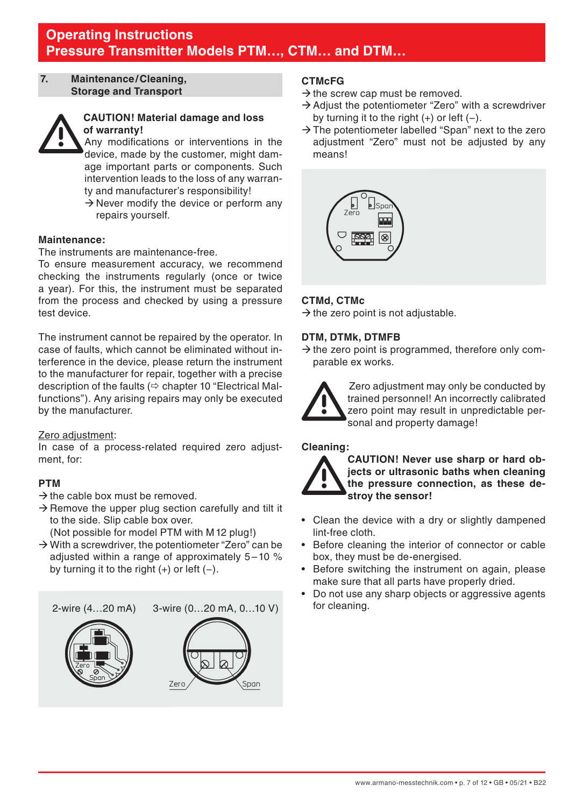#### <span id="page-6-0"></span>**7. Maintenance/Cleaning, Storage and Transport**



#### **CAUTION! Material damage and loss of warranty!**

 Any modifications or interventions in the device, made by the customer, might damage important parts or components. Such intervention leads to the loss of any warranty and manufacturer's responsibility!

 $\rightarrow$  Never modify the device or perform any repairs yourself.

#### **Maintenance:**

The instruments are maintenance-free.

To ensure measurement accuracy, we recommend checking the instruments regularly (once or twice a year). For this, the instrument must be separated from the process and checked by using a pressure test device.

The instrument cannot be repaired by the operator. In case of faults, which cannot be eliminated without interference in the device, please return the instrument to the manufacturer for repair, together with a precise description of the faults ( $\Leftrightarrow$  chapter 10 "Electrical Malfunctions"). Any arising repairs may only be executed by the manufacturer.

#### Zero adiustment:

In case of a process-related required zero adjustment, for:

## **PTM**

- $\rightarrow$  the cable box must be removed.
- $\rightarrow$  Remove the upper plug section carefully and tilt it to the side. Slip cable box over.

(Not possible for model PTM with M12 plug!)

 $\rightarrow$  With a screwdriver, the potentiometer "Zero" can be adjusted within a range of approximately 5–10 % by turning it to the right  $(+)$  or left  $(-)$ .



#### **CTMcFG**

- $\rightarrow$  the screw cap must be removed.
- $\rightarrow$  Adjust the potentiometer "Zero" with a screwdriver by turning it to the right  $(+)$  or left  $(-)$ .
- $\rightarrow$  The potentiometer labelled "Span" next to the zero adjustment "Zero" must not be adjusted by any means!



## **CTMd, CTMc**

 $\rightarrow$  the zero point is not adjustable.

#### **DTM, DTMk, DTMFB**

 $\rightarrow$  the zero point is programmed, therefore only comparable ex works.



 Zero adjustment may only be conducted by trained personnel! An incorrectly calibrated zero point may result in unpredictable personal and property damage!

#### **Cleaning:**



**CAUTION! Never use sharp or hard objects or ultrasonic baths when cleaning the pressure connection, as these destroy the sensor!**

- Clean the device with a dry or slightly dampened lint-free cloth.
- Before cleaning the interior of connector or cable box, they must be de-energised.
- Before switching the instrument on again, please make sure that all parts have properly dried.
- Do not use any sharp objects or aggressive agents for cleaning.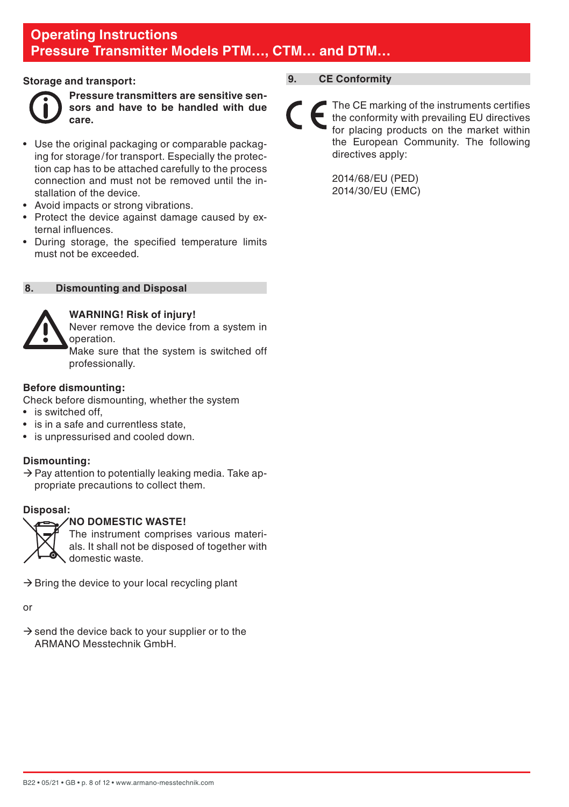#### <span id="page-7-0"></span>**Storage and transport:**



**Pressure transmitters are sensitive sensors and have to be handled with due care.**

- Use the original packaging or comparable packaging for storage/for transport. Especially the protection cap has to be attached carefully to the process connection and must not be removed until the installation of the device.
- Avoid impacts or strong vibrations.
- Protect the device against damage caused by external influences.
- During storage, the specified temperature limits must not be exceeded.

#### **8. Dismounting and Disposal**



### **WARNING! Risk of injury!**

Never remove the device from a system in operation.

 Make sure that the system is switched off professionally.

#### **Before dismounting:**

Check before dismounting, whether the system

- is switched off
- is in a safe and currentless state,
- is unpressurised and cooled down.

#### **Dismounting:**

 $\rightarrow$  Pay attention to potentially leaking media. Take appropriate precautions to collect them.

#### **Disposal:**

## **NO DOMESTIC WASTE!**

 The instrument comprises various materials. It shall not be disposed of together with domestic waste.

 $\rightarrow$  Bring the device to your local recycling plant

#### or

 $\rightarrow$  send the device back to your supplier or to the ARMANO Messtechnik GmbH.

## **9. CE Conformity**

The CE marking of the instruments certifies the conformity with prevailing EU directives for placing products on the market within the European Community. The following directives apply:

 2014/68/EU (PED) 2014/30/EU (EMC)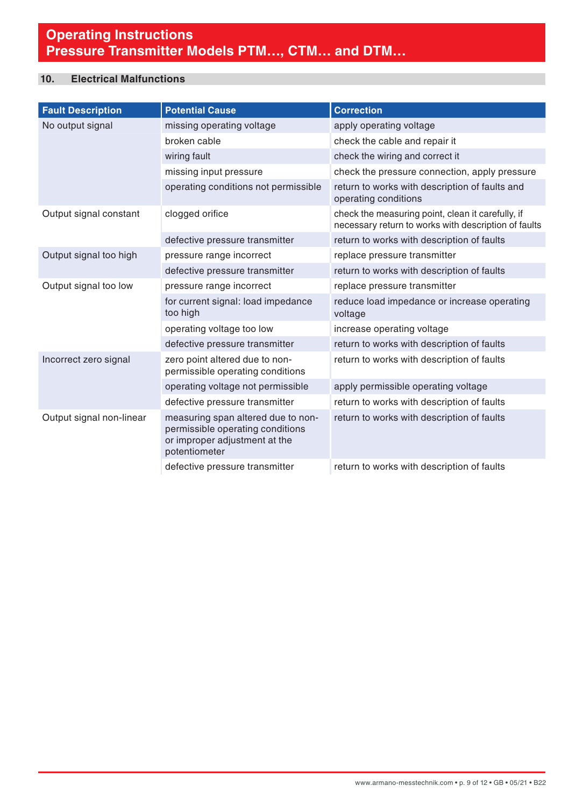## <span id="page-8-0"></span>**10. Electrical Malfunctions**

| <b>Fault Description</b> | <b>Potential Cause</b>                                                                                                   | <b>Correction</b>                                                                                         |
|--------------------------|--------------------------------------------------------------------------------------------------------------------------|-----------------------------------------------------------------------------------------------------------|
| No output signal         | missing operating voltage                                                                                                | apply operating voltage                                                                                   |
|                          | broken cable                                                                                                             | check the cable and repair it                                                                             |
|                          | wiring fault                                                                                                             | check the wiring and correct it                                                                           |
|                          | missing input pressure                                                                                                   | check the pressure connection, apply pressure                                                             |
|                          | operating conditions not permissible                                                                                     | return to works with description of faults and<br>operating conditions                                    |
| Output signal constant   | clogged orifice                                                                                                          | check the measuring point, clean it carefully, if<br>necessary return to works with description of faults |
|                          | defective pressure transmitter                                                                                           | return to works with description of faults                                                                |
| Output signal too high   | pressure range incorrect                                                                                                 | replace pressure transmitter                                                                              |
|                          | defective pressure transmitter                                                                                           | return to works with description of faults                                                                |
| Output signal too low    | pressure range incorrect                                                                                                 | replace pressure transmitter                                                                              |
|                          | for current signal: load impedance<br>too high                                                                           | reduce load impedance or increase operating<br>voltage                                                    |
|                          | operating voltage too low                                                                                                | increase operating voltage                                                                                |
|                          | defective pressure transmitter                                                                                           | return to works with description of faults                                                                |
| Incorrect zero signal    | zero point altered due to non-<br>permissible operating conditions                                                       | return to works with description of faults                                                                |
|                          | operating voltage not permissible                                                                                        | apply permissible operating voltage                                                                       |
|                          | defective pressure transmitter                                                                                           | return to works with description of faults                                                                |
| Output signal non-linear | measuring span altered due to non-<br>permissible operating conditions<br>or improper adjustment at the<br>potentiometer | return to works with description of faults                                                                |
|                          | defective pressure transmitter                                                                                           | return to works with description of faults                                                                |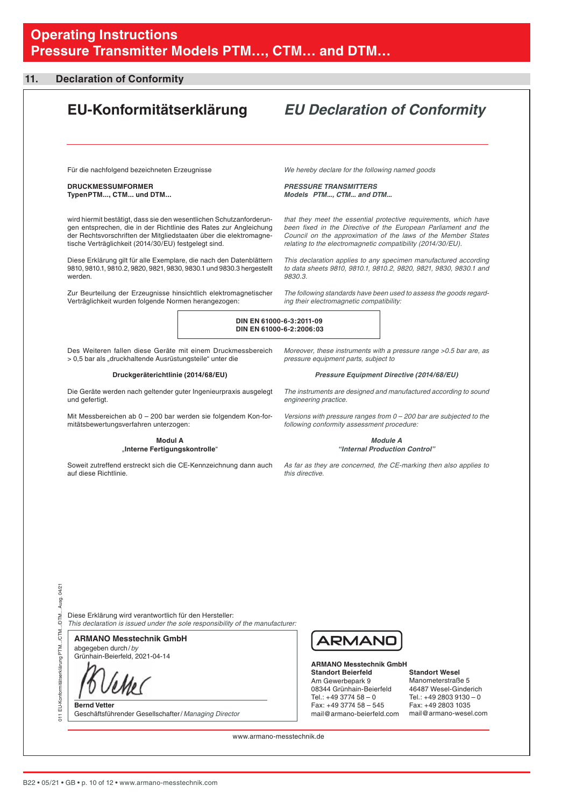#### <span id="page-9-0"></span>**11. Declaration of Conformity**

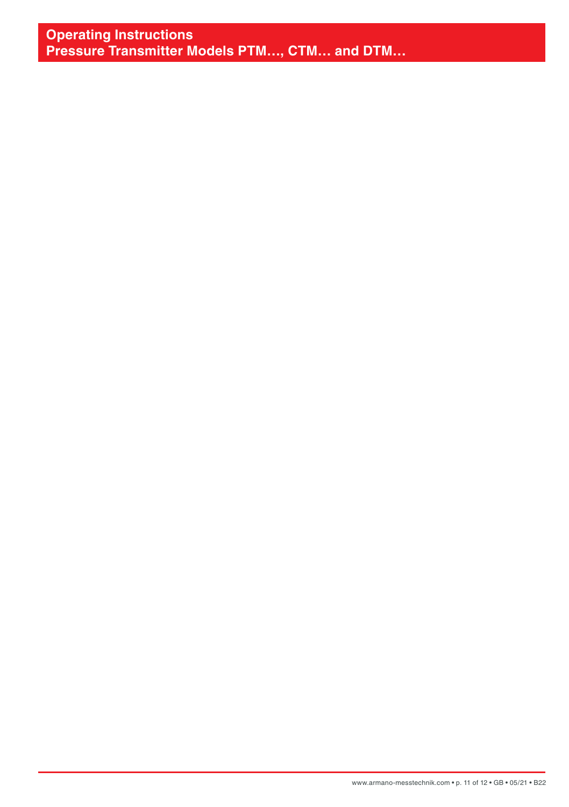www.armano-messtechnik.com • p. 11 of 12 • GB • 05/21 • B22